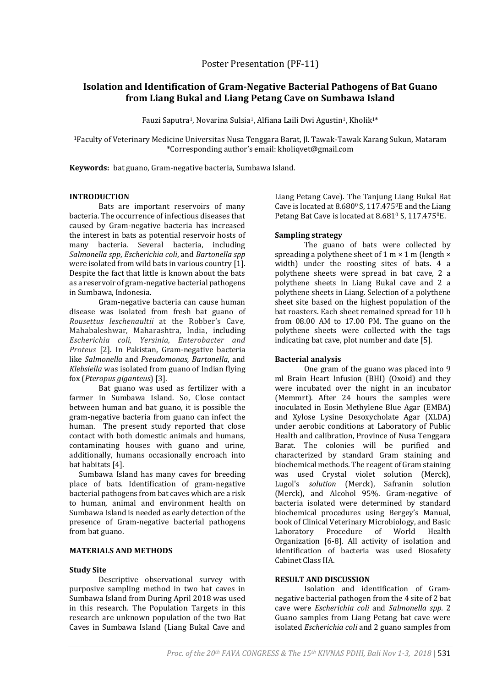# **Isolation and Identification of Gram-Negative Bacterial Pathogens of Bat Guano from Liang Bukal and Liang Petang Cave on Sumbawa Island**

Fauzi Saputra<sup>1</sup>, Novarina Sulsia<sup>1</sup>, Alfiana Laili Dwi Agustin<sup>1</sup>, Kholik<sup>1\*</sup>

<sup>1</sup>Faculty of Veterinary Medicine Universitas Nusa Tenggara Barat, Jl. Tawak-Tawak Karang Sukun, Mataram \*Corresponding author's email: kholiqvet@gmail.com

**Keywords:** bat guano, Gram-negative bacteria, Sumbawa Island.

## **INTRODUCTION**

Bats are important reservoirs of many bacteria. The occurrence of infectious diseases that caused by Gram-negative bacteria has increased the interest in bats as potential reservoir hosts of many bacteria. Several bacteria, including *Salmonella spp*, *Escherichia coli*, and *Bartonella spp*  were isolated from wild bats in various country [1]. Despite the fact that little is known about the bats as a reservoir of gram-negative bacterial pathogens in Sumbawa, Indonesia.

Gram-negative bacteria can cause human disease was isolated from fresh bat guano of *Rousettus leschenaultii* at the Robber's Cave, Mahabaleshwar, Maharashtra, India, including *Escherichia coli, Yersinia, Enterobacter and Proteus* [2]. In Pakistan, Gram-negative bacteria like *Salmonella* and *Pseudomonas, Bartonella*, and *Klebsiella* was isolated from guano of Indian flying fox (*Pteropus giganteus*) [3].

Bat guano was used as fertilizer with a farmer in Sumbawa Island. So, Close contact between human and bat guano, it is possible the gram-negative bacteria from guano can infect the human. The present study reported that close contact with both domestic animals and humans, contaminating houses with guano and urine, additionally, humans occasionally encroach into bat habitats [4].

Sumbawa Island has many caves for breeding place of bats. Identification of gram-negative bacterial pathogens from bat caves which are a risk to human, animal and environment health on Sumbawa Island is needed as early detection of the presence of Gram-negative bacterial pathogens from bat guano.

#### **MATERIALS AND METHODS**

#### **Study Site**

Descriptive observational survey with purposive sampling method in two bat caves in Sumbawa Island from During April 2018 was used in this research. The Population Targets in this research are unknown population of the two Bat Caves in Sumbawa Island (Liang Bukal Cave and

Liang Petang Cave). The Tanjung Liang Bukal Bat Cave is located at  $8.680^\circ$  S,  $117.475^\circ$ E and the Liang Petang Bat Cave is located at 8.681º S, 117.475ºE.

## **Sampling strategy**

The guano of bats were collected by spreading a polythene sheet of  $1 \text{ m} \times 1 \text{ m}$  (length  $\times$ width) under the roosting sites of bats. 4 a polythene sheets were spread in bat cave, 2 a polythene sheets in Liang Bukal cave and 2 a polythene sheets in Liang. Selection of a polythene sheet site based on the highest population of the bat roasters. Each sheet remained spread for 10 h from 08.00 AM to 17.00 PM. The guano on the polythene sheets were collected with the tags indicating bat cave, plot number and date [5].

## **Bacterial analysis**

One gram of the guano was placed into 9 ml Brain Heart Infusion (BHI) (Oxoid) and they were incubated over the night in an incubator (Memmrt). After 24 hours the samples were inoculated in Eosin Methylene Blue Agar (EMBA) and Xylose Lysine Desoxycholate Agar (XLDA) under aerobic conditions at Laboratory of Public Health and calibration, Province of Nusa Tenggara Barat. The colonies will be purified and characterized by standard Gram staining and biochemical methods. The reagent of Gram staining was used Crystal violet solution (Merck), Lugol's *solution* (Merck), Safranin solution (Merck), and Alcohol 95%. Gram-negative of bacteria isolated were determined by standard biochemical procedures using Bergey's Manual, book of Clinical Veterinary Microbiology, and Basic Laboratory Procedure of World Health Organization [6-8]. All activity of isolation and Identification of bacteria was used Biosafety Cabinet Class IIA.

## **RESULT AND DISCUSSION**

Isolation and identification of Gramnegative bacterial pathogen from the 4 site of 2 bat cave were *Escherichia coli* and *Salmonella spp.* 2 Guano samples from Liang Petang bat cave were isolated *Escherichia coli* and 2 guano samples from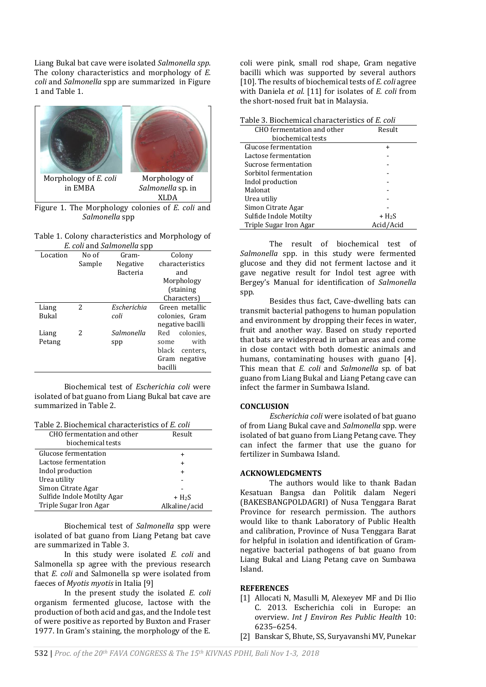Liang Bukal bat cave were isolated *Salmonella spp*. The colony characteristics and morphology of *E. coli* and *Salmonella* spp are summarized in Figure 1 and Table 1.



Figure 1. The Morphology colonies of *E. coli* and *Salmonella* spp

| Table 1. Colony characteristics and Morphology of |
|---------------------------------------------------|
| E. coli and Salmonella spp                        |

| of contractors of the contractors of $\mu$ |        |                 |                   |  |  |
|--------------------------------------------|--------|-----------------|-------------------|--|--|
| Location                                   | No of  | Gram-           | Colony            |  |  |
|                                            | Sample | Negative        | characteristics   |  |  |
|                                            |        | <b>Bacteria</b> | and               |  |  |
|                                            |        |                 | Morphology        |  |  |
|                                            |        |                 | (staining         |  |  |
|                                            |        |                 | Characters)       |  |  |
| Liang                                      | 2      | Escherichia     | Green metallic    |  |  |
| Bukal                                      |        | coli            | colonies, Gram    |  |  |
|                                            |        |                 | negative bacilli  |  |  |
| Liang                                      | 2      | Salmonella      | colonies.<br>Red  |  |  |
| Petang                                     |        | spp             | with<br>some      |  |  |
|                                            |        |                 | black<br>centers. |  |  |
|                                            |        |                 | negative<br>Gram  |  |  |
|                                            |        |                 | bacilli           |  |  |

Biochemical test of *Escherichia coli* were isolated of bat guano from Liang Bukal bat cave are summarized in Table 2.

| CHO fermentation and other<br>biochemical tests | Result        |
|-------------------------------------------------|---------------|
| Glucose fermentation                            | ÷             |
| Lactose fermentation                            | $\ddot{}$     |
| Indol production                                | $\ddot{}$     |
| Urea utility                                    |               |
| Simon Citrate Agar                              |               |
| Sulfide Indole Motilty Agar                     | $+ H2S$       |
| Triple Sugar Iron Agar                          | Alkaline/acid |

Biochemical test of *Salmonella* spp were isolated of bat guano from Liang Petang bat cave are summarized in Table 3.

In this study were isolated *E. coli* and Salmonella sp agree with the previous research that *E. coli* and Salmonella sp were isolated from faeces of *Myotis myotis* in Italia [9]

In the present study the isolated *E. coli*  organism fermented glucose, lactose with the production of both acid and gas, and the Indole test of were positive as reported by Buxton and Fraser 1977. In Gram's staining, the morphology of the E.

coli were pink, small rod shape, Gram negative bacilli which was supported by several authors [10]. The results of biochemical tests of *E. coli* agree with Daniela *et al.* [11] for isolates of *E. coli* from the short-nosed fruit bat in Malaysia.

| Table 3. Biochemical characteristics of E. coli |           |  |  |
|-------------------------------------------------|-----------|--|--|
| CHO fermentation and other                      | Result    |  |  |
| biochemical tests                               |           |  |  |
| Glucose fermentation                            | $\div$    |  |  |
| Lactose fermentation                            |           |  |  |
| Sucrose fermentation                            |           |  |  |
| Sorbitol fermentation                           |           |  |  |
| Indol production                                |           |  |  |
| Malonat                                         |           |  |  |
| Urea utiliy                                     |           |  |  |
| Simon Citrate Agar                              |           |  |  |
| Sulfide Indole Motilty                          | $+ H2S$   |  |  |
| Triple Sugar Iron Agar                          | Acid/Acid |  |  |

The result of biochemical test of *Salmonella* spp. in this study were fermented glucose and they did not ferment lactose and it gave negative result for Indol test agree with Bergey's Manual for identification of *Salmonella* spp.

Besides thus fact, Cave-dwelling bats can transmit bacterial pathogens to human population and environment by dropping their feces in water, fruit and another way. Based on study reported that bats are widespread in urban areas and come in close contact with both domestic animals and humans, contaminating houses with guano [4]. This mean that *E. coli* and *Salmonella* sp. of bat guano from Liang Bukal and Liang Petang cave can infect the farmer in Sumbawa Island.

#### **CONCLUSION**

*Escherichia coli* were isolated of bat guano of from Liang Bukal cave and *Salmonella* spp. were isolated of bat guano from Liang Petang cave. They can infect the farmer that use the guano for fertilizer in Sumbawa Island.

#### **ACKNOWLEDGMENTS**

The authors would like to thank Badan Kesatuan Bangsa dan Politik dalam Negeri (BAKESBANGPOLDAGRI) of Nusa Tenggara Barat Province for research permission. The authors would like to thank Laboratory of Public Health and calibration, Province of Nusa Tenggara Barat for helpful in isolation and identification of Gramnegative bacterial pathogens of bat guano from Liang Bukal and Liang Petang cave on Sumbawa Island.

#### **REFERENCES**

- [1] Allocati N, Masulli M, Alexeyev MF and Di Ilio C. 2013. Escherichia coli in Europe: an overview. *Int J Environ Res Public Health* 10: 6235–6254.
- [2] Banskar S, Bhute, SS, Suryavanshi MV, Punekar